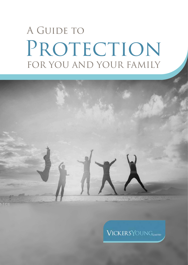# A GUIDE TO PROTECTION FOR YOU AND YOUR FAMILY



**VICKERSYOUNGLINITID**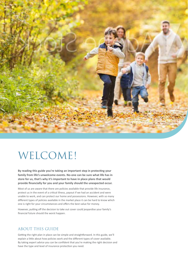

## WELCOME!

**By reading this guide you're taking an important step in protecting your family from life's unwelcome events. No-one can be sure what life has in store for us, that's why it's important to have in place plans that would provide financially for you and your family should the unexpected occur.**

Most of us are aware that there are policies available that provide life insurance, protect us in the event of a critical illness, payout if we had an accident and were unable to work, and can protect our home and possessions. However, with so many different types of policies available in the market place it can be hard to know which one is right for your circumstances and offers the best value for money.

However, putting off the decision to take out cover could jeopardise your family's financial future should the worst happen.

#### ABOUT THIS GUIDE

Getting the right plan in place can be simple and straightforward. In this guide, we'll explain a little about how policies work and the different types of cover available. By taking expert advice you can be confident that you're making the right decision and have the type and level of insurance protection you need.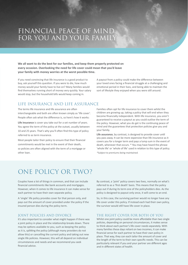## FINANCIAL PEACE OF MIND FOR YOU AND YOUR FAMILY

**We all want to do the best for our families, and keep them properly protected on every occasion. Overlooking the need for life cover could mean that you'd leave your family with money worries at the worst possible time.** 

If you need convincing that life insurance is a good product to buy, ask yourself this question. If you were to die, how much money would your family have to live on? Many families would find themselves running short of money very quickly. Your salary would stop, but the household bills would keep coming in.

A payout from a policy could make the difference between your loved ones facing a financial struggle at a challenging and emotional period in their lives, and being able to maintain the sort of lifestyle they enjoyed when you were still around.

#### LIFE INSURANCE AND LIFE ASSURANCE

The terms life insurance and life assurance are often interchangeable and both are often known simply as 'life cover'. People often ask what the difference is, so here's how it works:

**Life insurance** is cover you take out for a set number of years. You agree the term of the policy at the outset, usually between 10 and 25 years. That's why you'll often find this type of policy referred to as term insurance.

Most people tailor their policy to ensure that their financial commitments would be met in the event of their death, so policies are often aligned with the term of a mortgage or other loan.

Families often opt for life insurance to cover them whilst the children are growing up, taking a policy that will end when they become financially independent. With life insurance, you aren't guaranteed to receive a payout as you could outlive the term of the policy. However, what you do get is the continuing peace of mind and the guarantees that protection policies give you and your family.

**Life assurance**, by contrast, is designed to provide cover until you pass away. It can be more expensive than life insurance as it covers you for a longer term and pays a lump sum in the event of death, whenever that occurs. \* You may have heard the phrase 'whole life' or 'whole of life' used in relation to this type of policy.

\*Subject to premiums being maintained.

## ONE POLICY OR TWO?

Couples have a lot of things in common, and that can include financial commitments like bank accounts and mortgages. However, when it comes to life insurance it can make sense for each partner to have their own separate policy.

A 'single' life policy provides cover for that person only, and pays out the amount of cover provided under the policy if the insured person dies during the policy term.

#### JOINT POLICIES AND DIVORCE

It's also important to consider what might happen if there was a joint policy in place and the relationship breaks down. There may be options available to you, such as keeping the policy as it is, splitting the policy (although many providers do not allow this) or cancelling the current policy and taking out new single life policies. However, this will all depend on individual circumstances and needs and we recommend you seek financial advice.

By contrast, a 'joint' policy covers two lives, normally on what's referred to as a 'first death' basis. This means that the policy pays out if during its term one of the policyholders dies. As the policy is designed to payout only once, it will come to an end.

So, in this case, the surviving partner would no longer have any life cover under this policy. If instead each had their own policy, the survivor would still have life cover in place.

#### THE RIGHT COVER FOR BOTH OF YOU

Whilst one joint policy could be more affordable than two single policies, depending on personal circumstances, it makes sense to think about each partner's life cover needs separately. With many families these days reliant on two incomes, it can make financial sense for each partner to have their own policy in place. That way, they can each tailor the amount of cover and the length of the term to their own specific needs. This can be particularly relevant if you and your partner are different ages and in different states of health.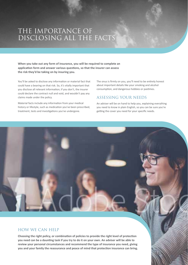## THE IMPORTANCE OF DISCLOSING ALL THE FACTS

**When you take out any form of insurance, you will be required to complete an application form and answer various questions, so that the insurer can assess the risk they'd be taking on by insuring you.** 

You'll be asked to disclose any information or material fact that could have a bearing on that risk. So, it's vitally important that you disclose all relevant information; if you don't, the insurer could declare the contract null and void, and wouldn't pay any claims made under the policy.

Material facts include any information from your medical history or lifestyle, such as medication you've been prescribed, treatment, tests and investigations you've undergone.

The onus is firmly on you, you'll need to be entirely honest about important details like your smoking and alcohol consumption, and dangerous hobbies or pastimes.

#### ASSESSING YOUR NEEDS

An adviser will be on hand to help you, explaining everything you need to know in plain English, so you can be sure you're getting the cover you need for your specific needs.

#### HOW WE CAN HELP

**Choosing the right policy, or combination of policies to provide the right level of protection you need can be a daunting task if you try to do it on your own. An adviser will be able to review your personal circumstances and recommend the type of insurance you need, giving you and your family the reassurance and peace of mind that protection insurance can bring.**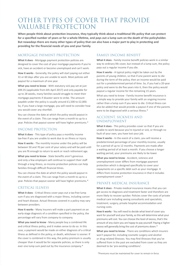## OTHER TYPES OF COVER THAT PROVIDE VALUABLE PROTECTION

**When people think about protection insurance, they typically think about a traditional life policy that can protect for a specified number of years or for a whole lifetime, and pays out a lump sum on the death of the policyholder. But nowadays there are many other types of policy that can also have a major part to play in protecting and providing for the financial needs of you and your family.** 

#### MORTGAGE PAYMENT PROTECTION

**What it does** - Mortgage payment protection policies are designed to cover the cost of your mortgage payments if you're sick, have an accident or become unemployed and can't work.

**How it works** - Generally, the policy will start paying out either 31 or 60 days after you are unable to work. Most policies will payout for a maximum of one year.

**What you need to know** - With statutory sick pay set at just £89.35 (applicable from 6th April 2017) and only payable for up to 28 weeks, many families would struggle to meet their mortgage payments if disaster were to strike. The amount payable under the policy is usually around £1,500 to £2,000. So, if you have a large mortgage, you will need to consider how you would cover any shortfall.

You can choose the date at which the policy would payout in the event of a claim. This can range from a month to up to a year. Policies that payout sooner will have higher premiums.\*

#### INCOME PROTECTION

**What it does** - This type of policy pays a monthly income tax-free if you are unable to work due to an illness or injury.

**How it works** - The monthly income under the policy will be between 50 and 70 per cent of your salary and will be paid until you are fit enough to return to work or reach retirement age.

**What you need to know** - State benefits aren't generous and only a few employers will continue to support their staff through a long illness, so income protection policies can help families through difficult financial times.

You can choose the date at which the policy would payout in the event of a claim. This can range from a month to up to a year. Policies that payout sooner will have higher premiums.\*

#### CRITICAL ILLNESS

**What it does** - Critical illness cover pays out a tax-free lump sum if you are diagnosed with a major illness, including cancer and heart disease. Actual illnesses covered in a policy may vary between providers.

**How it works** - Many insurers will make a part payment on an early-stage diagnosis of a condition specified in the policy, the percentage will vary from company to company.

**What you need to know** - Many people buy a combined life and critical illness policy, and it makes sense to do so. In this case, a payment would be made on either diagnosis of a critical illness as defined in the policy, or death, whichever is sooner. If the cover is combined in this way, the policy premium is usually cheaper than it would be for separate policies, as there is only ever one lump sum paid out by the insurance company.\*

#### FAMILY INCOME BENEFIT

**What it does** - Family income benefit policies work in a similar way to ordinary life cover, but instead of a lump sum, the policy pays out a regular income if you die.

**How it works** - A typical policy might be taken out by the parents of young children, so that if one parent were to die during the term of the policy, then an income would be paid out for a predetermined period of time. So, if you had a 20-year policy and were to die five years into it, then the policy would payout a regular income for the remaining 15 years.

What you need to know - Family income benefit insurance is a simple way to provide your family with an ongoing income rather than a lump sum if you were to die. Critical illness can also be added that would provide a payout if one of the parents were to be diagnosed with a serious illness.\*

#### ACCIDENT, SICKNESS AND UNEMPLOYMENT

**What it does** - This policy provides cover so that if you are unable to work because you're injured or sick, or through no fault of your own, you have lost your job.

**How it works** - In the event of a claim, you will receive a predetermined percentage of your monthly income, usually for a period of up to 12 months. Payments are made after a waiting period of at least a month. If you choose a longer waiting period, your premiums are likely to be lower.

**What you need to know** - Accident, sickness and unemployment cover differs from mortgage payment protection which is designed specifically to cover your repayments on a specific debt such as your mortgage. It differs from income protection insurance in that it includes unemployment cover.\*

#### PRIVATE MEDICAL INSURANCE

**What it does** - Private medical insurance means that you can get access to diagnosis and treatment faster and therefore are more likely to recover quicker. Policies cover the costs of private medical care including seeing consultants and specialists, treatment, surgery, private hospital accommodation and nursing costs.

**How it works** - You will need to decide what level of cover you want for yourself and your family, as this will determine what your premiums will cost. You can choose the level of excess, that's the amount of any claim you are happy to pay yourself. Paying a higher excess will generally bring the cost of premiums down.\*

**What you need to know** - There are conditions which insurers won't payout for, including cosmetic surgery and alcohol or drug-related illnesses. You may find illnesses that you've suffered from in the past are excluded from cover as they are deemed to be 'pre-existing conditions'.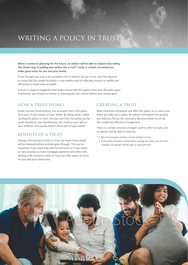## WRITING A POLICY IN TRUST

**When it comes to planning for the future, an adviser will be able to explain how taking the simple step of putting your policy into a trust\* could, in certain circumstances, make good sense for you and your family.** 

If you thought you had to be incredibly rich to need to set up a trust, you'll be pleased to know that this simple formality is now widely used to help pass money on swiftly and efficiently to loved ones on death.

A trust is a legal arrangement that helps ensure that the payout from your life policy goes to whoever you choose to receive it, meaning you can control where your money goes.

#### HOW A TRUST WORKS

Under normal circumstances, the proceeds from a life policy form part of your estate on your death. By doing what's called 'writing the policy in trust', the pay outs from the policy can be made directly to your beneficiaries, for instance your wife or your children, and usually doesn't form part of your estate.

#### BENEFITS OF A TRUST

Having a life insurance policy in trust can mean these funds will be released before probate goes through. This can be important if you need help with funeral costs or if you relied on two incomes to meet mortgage payments and other bills. Writing a life insurance policy in trust can offer peace of mind for you and your loved ones.

#### CREATING A TRUST

Most insurance companies will offer this option at no extra cost when you take out a policy. An adviser will explain the process and help you fill out the necessary documentation to set up this simple but effective arrangement.

There is a certain amount of jargon used to refer to trusts, but an adviser will be able to help this.

- \* 1. Not all protection policies can be written in trust.
- 2. If the policy includes Critical Illness writing the policy can be more complex. An adviser will be able to help with this.

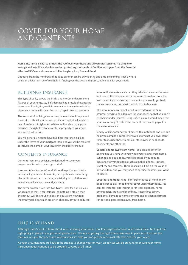## COVER FOR YOUR HOME AND CONTENTS

**Home insurance is vital to protect the roof over your head and all your possessions. It's simple to arrange and acts like a shock-absorber, protecting thousands of families each year from the financial effects of life's unwelcome events like burglary, loss, fire and flood.** 

Choosing from the hundreds of policies on offer can be bewildering and time-consuming. That's where using an adviser can be of real help in finding you the best and most suitable deal for your needs.

#### BUILDINGS INSURANCE

This type of policy covers the bricks and mortar and permanent fixtures of your home. So, if it's damaged as a result of events like storms and floods, fire, vandalism or water damage from leaking pipes, your policy will cover the cost of repairs to your property.

The amount of buildings insurance you need should represent the cost to rebuild your home, not its full market value which can often be a lot higher. An adviser will be able to help you calculate the right level of cover for a property of your type, size and construction.

You will generally need to have buildings insurance in place under the terms of your mortgage loan, and you will be required to include the name of your insurer on the policy schedule.

#### CONTENTS INSURANCE

Contents insurance policies are designed to cover your possessions from loss, damage or theft.

Insurers define 'contents' as all those things that you'd take with you if you moved house. So, most policies include things like furniture, carpets, curtains, electrical goods, clothes and valuables such as watches and jewellery.

The cover available falls into two types: 'new for old' policies which means that, if for instance, something is stolen then the payout will be enough to buy an equivalent new item. Indemnity policies, which are often cheaper, payout a reduced amount if you make a claim as they take into account the wear and tear or the depreciation in the value of an item. So, if you lost something you'd owned for a while, you would get back the current value, not what it would cost to buy new.

The amount of cover you'll need, referred to as the 'sum assured' needs to be adequate for your needs so that you don't risk being under insured. Being under insured would mean that your insurer might restrict the amount they would payout in the event of a claim.

Simply walking around your home with a notebook and pen can help you compile a comprehensive list of what you own. Don't forget to include those things you store away in cupboards, basements and attics too.

**Valuable items away from home** - You can get cover for belongings you have with you when you're away from home. When taking out a policy, you'll be asked if you require insurance for various items such as mobile phones, laptops, jewellery and cameras. There is usually a limit on the value of any one item, and you may need to specify the items you want to insure.

**Cover for additional risks** - For further peace of mind, many people opt to pay for additional cover under their policy. You can, for instance, add insurance for legal expenses, home emergencies, drains and plumbing, freezer breakdown, accidental damage to home contents and accidental damage for personal possessions away from home.

#### HELP IS AT HAND

Although there's a lot to think about when insuring your home, you'll be surprised at how much easier it can be to get the right policy in place if you get some good advice. The key to getting the right home insurance in place is to focus on the features, not just the price, and with an adviser's help you can get the most cost-effective deal for your needs.

As your circumstances are likely to be subject to change year-on-year, an adviser will be on hand to ensure your home insurance needs continue to be properly covered at all times.